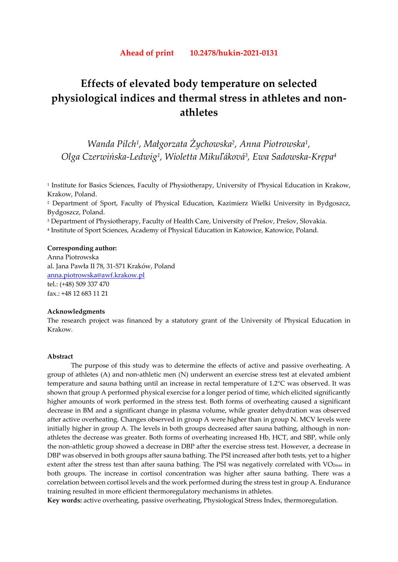# **Effects of elevated body temperature on selected physiological indices and thermal stress in athletes and nonathletes**

*Wanda Pilch1, Małgorzata Żychowska2, Anna Piotrowska1, Olga Czerwińska-Ledwig1, Wioletta Mikuľáková3, Ewa Sadowska-Krępa4* 

<sup>1</sup> Institute for Basics Sciences, Faculty of Physiotherapy, University of Physical Education in Krakow, Krakow, Poland.

2 Department of Sport, Faculty of Physical Education, Kazimierz Wielki University in Bydgoszcz, Bydgoszcz, Poland.

<sup>3</sup> Department of Physiotherapy, Faculty of Health Care, University of Prešov, Prešov, Slovakia.

4 Institute of Sport Sciences, Academy of Physical Education in Katowice, Katowice, Poland.

#### **Corresponding author:**

Anna Piotrowska al. Jana Pawła II 78, 31-571 Kraków, Poland anna.piotrowska@awf.krakow.pl tel.: (+48) 509 337 470 fax.: +48 12 683 11 21

## **Acknowledgments**

The research project was financed by a statutory grant of the University of Physical Education in Krakow.

## **Abstract**

The purpose of this study was to determine the effects of active and passive overheating. A group of athletes (A) and non-athletic men (N) underwent an exercise stress test at elevated ambient temperature and sauna bathing until an increase in rectal temperature of 1.2°C was observed. It was shown that group A performed physical exercise for a longer period of time, which elicited significantly higher amounts of work performed in the stress test. Both forms of overheating caused a significant decrease in BM and a significant change in plasma volume, while greater dehydration was observed after active overheating. Changes observed in group A were higher than in group N. MCV levels were initially higher in group A. The levels in both groups decreased after sauna bathing, although in nonathletes the decrease was greater. Both forms of overheating increased Hb, HCT, and SBP, while only the non-athletic group showed a decrease in DBP after the exercise stress test. However, a decrease in DBP was observed in both groups after sauna bathing. The PSI increased after both tests, yet to a higher extent after the stress test than after sauna bathing. The PSI was negatively correlated with VO<sub>2max</sub> in both groups. The increase in cortisol concentration was higher after sauna bathing. There was a correlation between cortisol levels and the work performed during the stress test in group A. Endurance training resulted in more efficient thermoregulatory mechanisms in athletes.

**Key words:** active overheating, passive overheating, Physiological Stress Index, thermoregulation.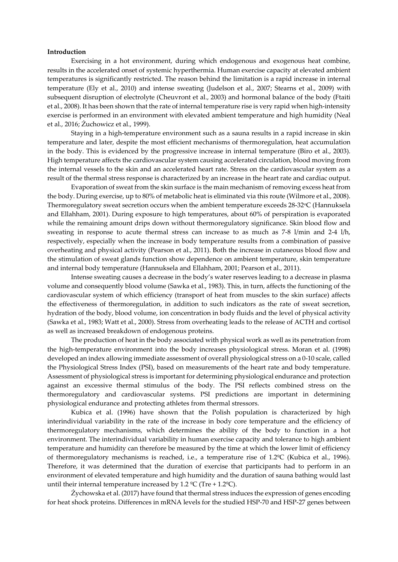#### **Introduction**

Exercising in a hot environment, during which endogenous and exogenous heat combine, results in the accelerated onset of systemic hyperthermia. Human exercise capacity at elevated ambient temperatures is significantly restricted. The reason behind the limitation is a rapid increase in internal temperature (Ely et al., 2010) and intense sweating (Judelson et al., 2007; Stearns et al., 2009) with subsequent disruption of electrolyte (Cheuvront et al., 2003) and hormonal balance of the body (Ftaiti et al., 2008). It has been shown that the rate of internal temperature rise is very rapid when high-intensity exercise is performed in an environment with elevated ambient temperature and high humidity (Neal et al., 2016; Żuchowicz et al., 1999).

Staying in a high-temperature environment such as a sauna results in a rapid increase in skin temperature and later, despite the most efficient mechanisms of thermoregulation, heat accumulation in the body. This is evidenced by the progressive increase in internal temperature (Biro et al., 2003). High temperature affects the cardiovascular system causing accelerated circulation, blood moving from the internal vessels to the skin and an accelerated heart rate. Stress on the cardiovascular system as a result of the thermal stress response is characterized by an increase in the heart rate and cardiac output.

 Evaporation of sweat from the skin surface is the main mechanism of removing excess heat from the body. During exercise, up to 80% of metabolic heat is eliminated via this route (Wilmore et al., 2008). Thermoregulatory sweat secretion occurs when the ambient temperature exceeds 28-32°C (Hannuksela and Ellahham, 2001). During exposure to high temperatures, about 60% of perspiration is evaporated while the remaining amount drips down without thermoregulatory significance. Skin blood flow and sweating in response to acute thermal stress can increase to as much as 7-8 l/min and 2-4 l/h, respectively, especially when the increase in body temperature results from a combination of passive overheating and physical activity (Pearson et al., 2011). Both the increase in cutaneous blood flow and the stimulation of sweat glands function show dependence on ambient temperature, skin temperature and internal body temperature (Hannuksela and Ellahham, 2001; Pearson et al., 2011).

Intense sweating causes a decrease in the body's water reserves leading to a decrease in plasma volume and consequently blood volume (Sawka et al., 1983). This, in turn, affects the functioning of the cardiovascular system of which efficiency (transport of heat from muscles to the skin surface) affects the effectiveness of thermoregulation, in addition to such indicators as the rate of sweat secretion, hydration of the body, blood volume, ion concentration in body fluids and the level of physical activity (Sawka et al., 1983; Watt et al., 2000). Stress from overheating leads to the release of ACTH and cortisol as well as increased breakdown of endogenous proteins.

The production of heat in the body associated with physical work as well as its penetration from the high-temperature environment into the body increases physiological stress. Moran et al. (1998) developed an index allowing immediate assessment of overall physiological stress on a 0-10 scale, called the Physiological Stress Index (PSI), based on measurements of the heart rate and body temperature. Assessment of physiological stress is important for determining physiological endurance and protection against an excessive thermal stimulus of the body. The PSI reflects combined stress on the thermoregulatory and cardiovascular systems. PSI predictions are important in determining physiological endurance and protecting athletes from thermal stressors.

Kubica et al. (1996) have shown that the Polish population is characterized by high interindividual variability in the rate of the increase in body core temperature and the efficiency of thermoregulatory mechanisms, which determines the ability of the body to function in a hot environment. The interindividual variability in human exercise capacity and tolerance to high ambient temperature and humidity can therefore be measured by the time at which the lower limit of efficiency of thermoregulatory mechanisms is reached, i.e., a temperature rise of 1.2ºC (Kubica et al., 1996). Therefore, it was determined that the duration of exercise that participants had to perform in an environment of elevated temperature and high humidity and the duration of sauna bathing would last until their internal temperature increased by 1.2  $^{\circ}$ C (Tre + 1.2 $^{\circ}$ C).

Żychowska et al. (2017) have found that thermal stress induces the expression of genes encoding for heat shock proteins. Differences in mRNA levels for the studied HSP-70 and HSP-27 genes between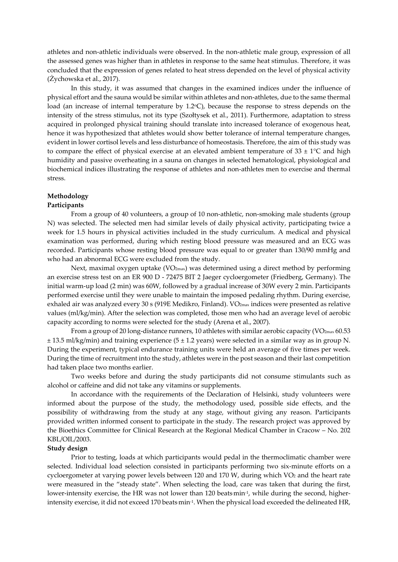athletes and non-athletic individuals were observed. In the non-athletic male group, expression of all the assessed genes was higher than in athletes in response to the same heat stimulus. Therefore, it was concluded that the expression of genes related to heat stress depended on the level of physical activity (Żychowska et al., 2017).

In this study, it was assumed that changes in the examined indices under the influence of physical effort and the sauna would be similar within athletes and non-athletes, due to the same thermal load (an increase of internal temperature by 1.2<sup>o</sup>C), because the response to stress depends on the intensity of the stress stimulus, not its type (Szołtysek et al., 2011). Furthermore, adaptation to stress acquired in prolonged physical training should translate into increased tolerance of exogenous heat, hence it was hypothesized that athletes would show better tolerance of internal temperature changes, evident in lower cortisol levels and less disturbance of homeostasis. Therefore, the aim of this study was to compare the effect of physical exercise at an elevated ambient temperature of  $33 \pm 1^{\circ}C$  and high humidity and passive overheating in a sauna on changes in selected hematological, physiological and biochemical indices illustrating the response of athletes and non-athletes men to exercise and thermal stress.

# **Methodology**

## **Participants**

From a group of 40 volunteers, a group of 10 non-athletic, non-smoking male students (group N) was selected. The selected men had similar levels of daily physical activity, participating twice a week for 1.5 hours in physical activities included in the study curriculum. A medical and physical examination was performed, during which resting blood pressure was measured and an ECG was recorded. Participants whose resting blood pressure was equal to or greater than 130/90 mmHg and who had an abnormal ECG were excluded from the study.

Next, maximal oxygen uptake  $(VO_{2\text{max}})$  was determined using a direct method by performing an exercise stress test on an ER 900 D - 72475 BIT 2 Jaeger cycloergometer (Friedberg, Germany). The initial warm-up load (2 min) was 60W, followed by a gradual increase of 30W every 2 min. Participants performed exercise until they were unable to maintain the imposed pedaling rhythm. During exercise, exhaled air was analyzed every 30 s (919E Medikro, Finland). VO<sub>2max</sub> indices were presented as relative values (ml/kg/min). After the selection was completed, those men who had an average level of aerobic capacity according to norms were selected for the study (Arena et al., 2007).

From a group of 20 long-distance runners, 10 athletes with similar aerobic capacity ( $VO_{2max}$  60.53  $\pm$  13.5 ml/kg/min) and training experience (5  $\pm$  1.2 years) were selected in a similar way as in group N. During the experiment, typical endurance training units were held an average of five times per week. During the time of recruitment into the study, athletes were in the post season and their last competition had taken place two months earlier.

Two weeks before and during the study participants did not consume stimulants such as alcohol or caffeine and did not take any vitamins or supplements.

In accordance with the requirements of the Declaration of Helsinki, study volunteers were informed about the purpose of the study, the methodology used, possible side effects, and the possibility of withdrawing from the study at any stage, without giving any reason. Participants provided written informed consent to participate in the study. The research project was approved by the Bioethics Committee for Clinical Research at the Regional Medical Chamber in Cracow – No. 202 KBL/OIL/2003.

## **Study design**

Prior to testing, loads at which participants would pedal in the thermoclimatic chamber were selected. Individual load selection consisted in participants performing two six-minute efforts on a cycloergometer at varying power levels between 120 and 170 W, during which VO2 and the heart rate were measured in the "steady state". When selecting the load, care was taken that during the first, lower-intensity exercise, the HR was not lower than 120 beats min<sup>-1</sup>, while during the second, higherintensity exercise, it did not exceed 170 beats min<sup>.1</sup>. When the physical load exceeded the delineated HR,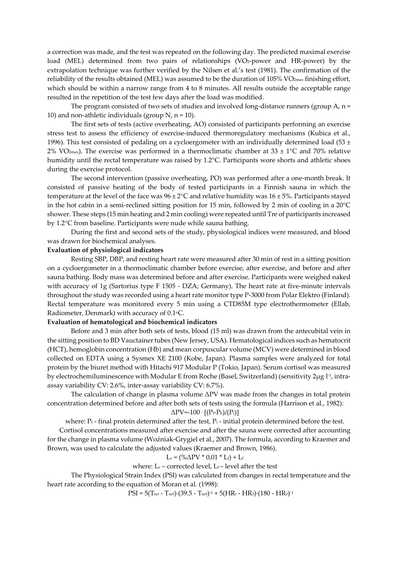a correction was made, and the test was repeated on the following day. The predicted maximal exercise load (MEL) determined from two pairs of relationships (VO2-power and HR-power) by the extrapolation technique was further verified by the Nilsen et al.'s test (1981). The confirmation of the reliability of the results obtained (MEL) was assumed to be the duration of 105% VO<sub>2max</sub> finishing effort, which should be within a narrow range from 4 to 8 minutes. All results outside the acceptable range resulted in the repetition of the test few days after the load was modified.

The program consisted of two sets of studies and involved long-distance runners (group A,  $n =$ 10) and non-athletic individuals (group  $N$ ,  $n = 10$ ).

The first sets of tests (active overheating, AO) consisted of participants performing an exercise stress test to assess the efficiency of exercise-induced thermoregulatory mechanisms (Kubica et al., 1996). This test consisted of pedaling on a cycloergometer with an individually determined load (53  $\pm$ 2% VO<sub>2max</sub>). The exercise was performed in a thermoclimatic chamber at 33  $\pm$  1°C and 70% relative humidity until the rectal temperature was raised by 1.2°C. Participants wore shorts and athletic shoes during the exercise protocol.

The second intervention (passive overheating, PO) was performed after a one-month break. It consisted of passive heating of the body of tested participants in a Finnish sauna in which the temperature at the level of the face was  $96 \pm 2$ °C and relative humidity was  $16 \pm 5$ %. Participants stayed in the hot cabin in a semi-reclined sitting position for 15 min, followed by 2 min of cooling in a 20°C shower. These steps (15 min heating and 2 min cooling) were repeated until Tre of participants increased by 1.2°C from baseline. Participants were nude while sauna bathing.

During the first and second sets of the study, physiological indices were measured, and blood was drawn for biochemical analyses.

## **Evaluation of physiological indicators**

Resting SBP, DBP, and resting heart rate were measured after 30 min of rest in a sitting position on a cycloergometer in a thermoclimatic chamber before exercise, after exercise, and before and after sauna bathing. Body mass was determined before and after exercise. Participants were weighed naked with accuracy of 1g (Sartorius type F 1505 - DZA; Germany). The heart rate at five-minute intervals throughout the study was recorded using a heart rate monitor type P-3000 from Polar Elektro (Finland). Rectal temperature was monitored every 5 min using a CTD85M type electrothermometer (Ellab, Radiometer, Denmark) with accuracy of 0.1 °C.

#### **Evaluation of hematological and biochemical indicators**

Before and 3 min after both sets of tests, blood (15 ml) was drawn from the antecubital vein in the sitting position to BD Vauctainer tubes (New Jersey, USA). Hematological indices such as hematocrit (HCT), hemoglobin concentration (Hb) and mean corpuscular volume (MCV) were determined in blood collected on EDTA using a Sysmex XE 2100 (Kobe, Japan). Plasma samples were analyzed for total protein by the biuret method with Hitachi 917 Modular P (Tokio, Japan). Serum cortisol was measured by electrochemiluminescence with Modular E from Roche (Basel, Switzerland) (sensitivity  $2\mu g l^{-1}$ , intraassay variability CV: 2.6%, inter-assay variability CV: 6.7%).

 The calculation of change in plasma volume ΔPV was made from the changes in total protein concentration determined before and after both sets of tests using the formula (Harrison et al., 1982):

#### $\Delta \text{PV}$ =-100 · [(P<sub>f</sub>-P<sub>b</sub>)/(P<sub>f</sub>)]

where:  $Pr_{\text{f}}$  - final protein determined after the test,  $Pr_{\text{i}}$  - initial protein determined before the test.

Cortisol concentrations measured after exercise and after the sauna were corrected after accounting for the change in plasma volume (Woźniak-Grygiel et al., 2007). The formula, according to Kraemer and Brown, was used to calculate the adjusted values (Kraemer and Brown, 1986).

## $L_c = (\% \Delta PV * 0.01 * L_f) + L_f$

where:  $L_c$  – corrected level,  $L_f$  – level after the test

The Physiological Strain Index (PSI) was calculated from changes in rectal temperature and the heart rate according to the equation of Moran et al. (1998):

PSI = 5(Tre*t* - Tre*0*)·(39.5 - Tre*0*)-1 + 5(HR*t* - HR*0*)·(180 - HR*0*)-1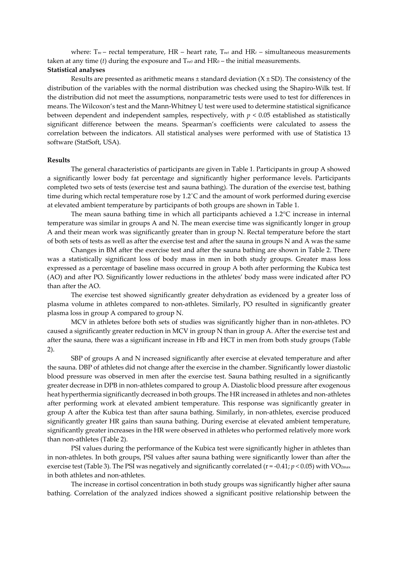where: Tre – rectal temperature, HR – heart rate, Tre*t* and HR*t* – simultaneous measurements taken at any time (*t*) during the exposure and  $T_{\text{re0}}$  and  $HR_0$  – the initial measurements. **Statistical analyses** 

Results are presented as arithmetic means  $\pm$  standard deviation (X  $\pm$  SD). The consistency of the distribution of the variables with the normal distribution was checked using the Shapiro-Wilk test. If the distribution did not meet the assumptions, nonparametric tests were used to test for differences in means. The Wilcoxon's test and the Mann-Whitney U test were used to determine statistical significance between dependent and independent samples, respectively, with  $p < 0.05$  established as statistically significant difference between the means. Spearman's coefficients were calculated to assess the correlation between the indicators. All statistical analyses were performed with use of Statistica 13 software (StatSoft, USA).

#### **Results**

The general characteristics of participants are given in Table 1. Participants in group A showed a significantly lower body fat percentage and significantly higher performance levels. Participants completed two sets of tests (exercise test and sauna bathing). The duration of the exercise test, bathing time during which rectal temperature rose by 1.2˚C and the amount of work performed during exercise at elevated ambient temperature by participants of both groups are shown in Table 1.

The mean sauna bathing time in which all participants achieved a 1.2°C increase in internal temperature was similar in groups A and N. The mean exercise time was significantly longer in group A and their mean work was significantly greater than in group N. Rectal temperature before the start of both sets of tests as well as after the exercise test and after the sauna in groups N and A was the same

Changes in BM after the exercise test and after the sauna bathing are shown in Table 2. There was a statistically significant loss of body mass in men in both study groups. Greater mass loss expressed as a percentage of baseline mass occurred in group A both after performing the Kubica test (AO) and after PO. Significantly lower reductions in the athletes' body mass were indicated after PO than after the AO.

The exercise test showed significantly greater dehydration as evidenced by a greater loss of plasma volume in athletes compared to non-athletes. Similarly, PO resulted in significantly greater plasma loss in group A compared to group N.

MCV in athletes before both sets of studies was significantly higher than in non-athletes. PO caused a significantly greater reduction in MCV in group N than in group A. After the exercise test and after the sauna, there was a significant increase in Hb and HCT in men from both study groups (Table 2).

SBP of groups A and N increased significantly after exercise at elevated temperature and after the sauna. DBP of athletes did not change after the exercise in the chamber. Significantly lower diastolic blood pressure was observed in men after the exercise test. Sauna bathing resulted in a significantly greater decrease in DPB in non-athletes compared to group A. Diastolic blood pressure after exogenous heat hyperthermia significantly decreased in both groups. The HR increased in athletes and non-athletes after performing work at elevated ambient temperature. This response was significantly greater in group A after the Kubica test than after sauna bathing. Similarly, in non-athletes, exercise produced significantly greater HR gains than sauna bathing. During exercise at elevated ambient temperature, significantly greater increases in the HR were observed in athletes who performed relatively more work than non-athletes (Table 2).

PSI values during the performance of the Kubica test were significantly higher in athletes than in non-athletes. In both groups, PSI values after sauna bathing were significantly lower than after the exercise test (Table 3). The PSI was negatively and significantly correlated (r = -0.41; *p <* 0.05) with VO2max in both athletes and non-athletes.

The increase in cortisol concentration in both study groups was significantly higher after sauna bathing. Correlation of the analyzed indices showed a significant positive relationship between the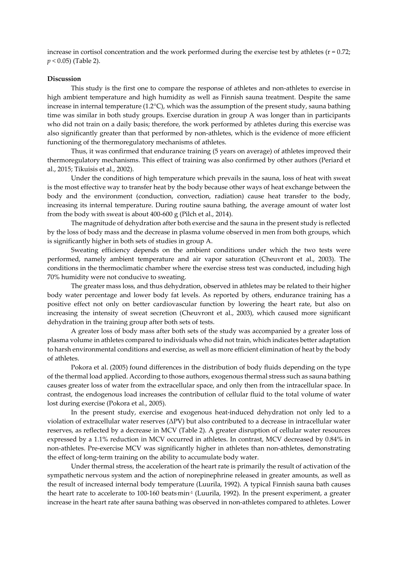increase in cortisol concentration and the work performed during the exercise test by athletes ( $r = 0.72$ ; *p <* 0.05) (Table 2).

## **Discussion**

This study is the first one to compare the response of athletes and non-athletes to exercise in high ambient temperature and high humidity as well as Finnish sauna treatment. Despite the same increase in internal temperature (1.2°C), which was the assumption of the present study, sauna bathing time was similar in both study groups. Exercise duration in group A was longer than in participants who did not train on a daily basis; therefore, the work performed by athletes during this exercise was also significantly greater than that performed by non-athletes, which is the evidence of more efficient functioning of the thermoregulatory mechanisms of athletes.

Thus, it was confirmed that endurance training (5 years on average) of athletes improved their thermoregulatory mechanisms. This effect of training was also confirmed by other authors (Periard et al., 2015; Tikuisis et al., 2002).

Under the conditions of high temperature which prevails in the sauna, loss of heat with sweat is the most effective way to transfer heat by the body because other ways of heat exchange between the body and the environment (conduction, convection, radiation) cause heat transfer to the body, increasing its internal temperature. During routine sauna bathing, the average amount of water lost from the body with sweat is about 400-600 g (Pilch et al., 2014).

The magnitude of dehydration after both exercise and the sauna in the present study is reflected by the loss of body mass and the decrease in plasma volume observed in men from both groups, which is significantly higher in both sets of studies in group A.

Sweating efficiency depends on the ambient conditions under which the two tests were performed, namely ambient temperature and air vapor saturation (Cheuvront et al., 2003). The conditions in the thermoclimatic chamber where the exercise stress test was conducted, including high 70% humidity were not conducive to sweating.

The greater mass loss, and thus dehydration, observed in athletes may be related to their higher body water percentage and lower body fat levels. As reported by others, endurance training has a positive effect not only on better cardiovascular function by lowering the heart rate, but also on increasing the intensity of sweat secretion (Cheuvront et al., 2003), which caused more significant dehydration in the training group after both sets of tests.

A greater loss of body mass after both sets of the study was accompanied by a greater loss of plasma volume in athletes compared to individuals who did not train, which indicates better adaptation to harsh environmental conditions and exercise, as well as more efficient elimination of heat by the body of athletes.

Pokora et al. (2005) found differences in the distribution of body fluids depending on the type of the thermal load applied. According to those authors, exogenous thermal stress such as sauna bathing causes greater loss of water from the extracellular space, and only then from the intracellular space. In contrast, the endogenous load increases the contribution of cellular fluid to the total volume of water lost during exercise (Pokora et al., 2005).

In the present study, exercise and exogenous heat-induced dehydration not only led to a violation of extracellular water reserves (ΔPV) but also contributed to a decrease in intracellular water reserves, as reflected by a decrease in MCV (Table 2). A greater disruption of cellular water resources expressed by a 1.1% reduction in MCV occurred in athletes. In contrast, MCV decreased by 0.84% in non-athletes. Pre-exercise MCV was significantly higher in athletes than non-athletes, demonstrating the effect of long-term training on the ability to accumulate body water.

Under thermal stress, the acceleration of the heart rate is primarily the result of activation of the sympathetic nervous system and the action of norepinephrine released in greater amounts, as well as the result of increased internal body temperature (Luurila, 1992). A typical Finnish sauna bath causes the heart rate to accelerate to 100-160 beats min<sup>-1</sup> (Luurila, 1992). In the present experiment, a greater increase in the heart rate after sauna bathing was observed in non-athletes compared to athletes. Lower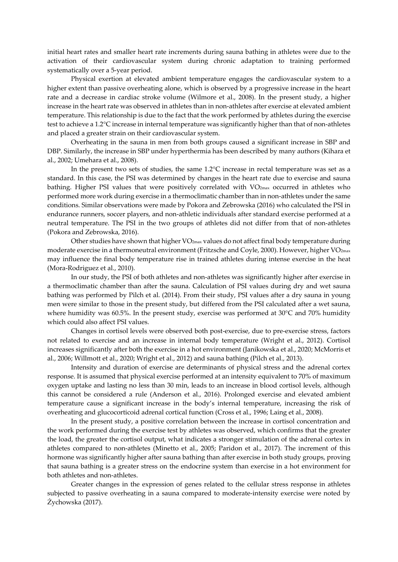initial heart rates and smaller heart rate increments during sauna bathing in athletes were due to the activation of their cardiovascular system during chronic adaptation to training performed systematically over a 5-year period.

Physical exertion at elevated ambient temperature engages the cardiovascular system to a higher extent than passive overheating alone, which is observed by a progressive increase in the heart rate and a decrease in cardiac stroke volume (Wilmore et al., 2008). In the present study, a higher increase in the heart rate was observed in athletes than in non-athletes after exercise at elevated ambient temperature. This relationship is due to the fact that the work performed by athletes during the exercise test to achieve a 1.2°C increase in internal temperature was significantly higher than that of non-athletes and placed a greater strain on their cardiovascular system.

Overheating in the sauna in men from both groups caused a significant increase in SBP and DBP. Similarly, the increase in SBP under hyperthermia has been described by many authors (Kihara et al., 2002; Umehara et al., 2008).

In the present two sets of studies, the same 1.2°C increase in rectal temperature was set as a standard. In this case, the PSI was determined by changes in the heart rate due to exercise and sauna bathing. Higher PSI values that were positively correlated with VO<sub>2max</sub> occurred in athletes who performed more work during exercise in a thermoclimatic chamber than in non-athletes under the same conditions. Similar observations were made by Pokora and Zebrowska (2016) who calculated the PSI in endurance runners, soccer players, and non-athletic individuals after standard exercise performed at a neutral temperature. The PSI in the two groups of athletes did not differ from that of non-athletes (Pokora and Zebrowska, 2016).

Other studies have shown that higher VO<sub>2max</sub> values do not affect final body temperature during moderate exercise in a thermoneutral environment (Fritzsche and Coyle, 2000). However, higher VO2max may influence the final body temperature rise in trained athletes during intense exercise in the heat (Mora-Rodriguez et al., 2010).

In our study, the PSI of both athletes and non-athletes was significantly higher after exercise in a thermoclimatic chamber than after the sauna. Calculation of PSI values during dry and wet sauna bathing was performed by Pilch et al. (2014). From their study, PSI values after a dry sauna in young men were similar to those in the present study, but differed from the PSI calculated after a wet sauna, where humidity was 60.5%. In the present study, exercise was performed at  $30^{\circ}$ C and  $70\%$  humidity which could also affect PSI values.

Changes in cortisol levels were observed both post-exercise, due to pre-exercise stress, factors not related to exercise and an increase in internal body temperature (Wright et al., 2012). Cortisol increases significantly after both the exercise in a hot environment (Janikowska et al., 2020; McMorris et al., 2006; Willmott et al., 2020; Wright et al., 2012) and sauna bathing (Pilch et al., 2013).

Intensity and duration of exercise are determinants of physical stress and the adrenal cortex response. It is assumed that physical exercise performed at an intensity equivalent to 70% of maximum oxygen uptake and lasting no less than 30 min, leads to an increase in blood cortisol levels, although this cannot be considered a rule (Anderson et al., 2016). Prolonged exercise and elevated ambient temperature cause a significant increase in the body's internal temperature, increasing the risk of overheating and glucocorticoid adrenal cortical function (Cross et al., 1996; Laing et al., 2008).

In the present study, a positive correlation between the increase in cortisol concentration and the work performed during the exercise test by athletes was observed, which confirms that the greater the load, the greater the cortisol output, what indicates a stronger stimulation of the adrenal cortex in athletes compared to non-athletes (Minetto et al., 2005; Paridon et al., 2017). The increment of this hormone was significantly higher after sauna bathing than after exercise in both study groups, proving that sauna bathing is a greater stress on the endocrine system than exercise in a hot environment for both athletes and non-athletes.

Greater changes in the expression of genes related to the cellular stress response in athletes subjected to passive overheating in a sauna compared to moderate-intensity exercise were noted by Żychowska (2017).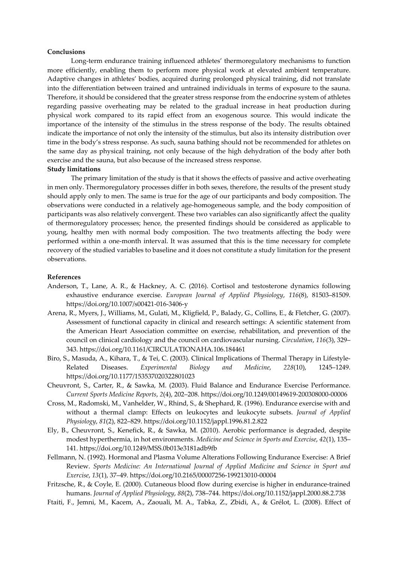#### **Conclusions**

Long-term endurance training influenced athletes' thermoregulatory mechanisms to function more efficiently, enabling them to perform more physical work at elevated ambient temperature. Adaptive changes in athletes' bodies, acquired during prolonged physical training, did not translate into the differentiation between trained and untrained individuals in terms of exposure to the sauna. Therefore, it should be considered that the greater stress response from the endocrine system of athletes regarding passive overheating may be related to the gradual increase in heat production during physical work compared to its rapid effect from an exogenous source. This would indicate the importance of the intensity of the stimulus in the stress response of the body. The results obtained indicate the importance of not only the intensity of the stimulus, but also its intensity distribution over time in the body's stress response. As such, sauna bathing should not be recommended for athletes on the same day as physical training, not only because of the high dehydration of the body after both exercise and the sauna, but also because of the increased stress response.

#### **Study limitations**

The primary limitation of the study is that it shows the effects of passive and active overheating in men only. Thermoregulatory processes differ in both sexes, therefore, the results of the present study should apply only to men. The same is true for the age of our participants and body composition. The observations were conducted in a relatively age-homogeneous sample, and the body composition of participants was also relatively convergent. These two variables can also significantly affect the quality of thermoregulatory processes; hence, the presented findings should be considered as applicable to young, healthy men with normal body composition. The two treatments affecting the body were performed within a one-month interval. It was assumed that this is the time necessary for complete recovery of the studied variables to baseline and it does not constitute a study limitation for the present observations.

#### **References**

- Anderson, T., Lane, A. R., & Hackney, A. C. (2016). Cortisol and testosterone dynamics following exhaustive endurance exercise. *European Journal of Applied Physiology*, *116*(8), 81503–81509. https://doi.org/10.1007/s00421-016-3406-y
- Arena, R., Myers, J., Williams, M., Gulati, M., Kligfield, P., Balady, G., Collins, E., & Fletcher, G. (2007). Assessment of functional capacity in clinical and research settings: A scientific statement from the American Heart Association committee on exercise, rehabilitation, and prevention of the council on clinical cardiology and the council on cardiovascular nursing. *Circulation*, *116*(3), 329– 343. https://doi.org/10.1161/CIRCULATIONAHA.106.184461
- Biro, S., Masuda, A., Kihara, T., & Tei, C. (2003). Clinical Implications of Thermal Therapy in Lifestyle-Related Diseases. *Experimental Biology and Medicine*, *228*(10), 1245–1249. https://doi.org/10.1177/153537020322801023
- Cheuvront, S., Carter, R., & Sawka, M. (2003). Fluid Balance and Endurance Exercise Performance. *Current Sports Medicine Reports*, *2*(4), 202–208. https://doi.org/10.1249/00149619-200308000-00006
- Cross, M., Radomski, M., Vanhelder, W., Rhind, S., & Shephard, R. (1996). Endurance exercise with and without a thermal clamp: Effects on leukocytes and leukocyte subsets. *Journal of Applied Physiology*, *81*(2), 822–829. https://doi.org/10.1152/jappl.1996.81.2.822
- Ely, B., Cheuvront, S., Kenefick, R., & Sawka, M. (2010). Aerobic performance is degraded, despite modest hyperthermia, in hot environments. *Medicine and Science in Sports and Exercise*, *42*(1), 135– 141. https://doi.org/10.1249/MSS.0b013e3181adb9fb
- Fellmann, N. (1992). Hormonal and Plasma Volume Alterations Following Endurance Exercise: A Brief Review. *Sports Medicine: An International Journal of Applied Medicine and Science in Sport and Exercise*, *13*(1), 37–49. https://doi.org/10.2165/00007256-199213010-00004
- Fritzsche, R., & Coyle, E. (2000). Cutaneous blood flow during exercise is higher in endurance-trained humans. *Journal of Applied Physiology*, *88*(2), 738–744. https://doi.org/10.1152/jappl.2000.88.2.738
- Ftaiti, F., Jemni, M., Kacem, A., Zaouali, M. A., Tabka, Z., Zbidi, A., & Grélot, L. (2008). Effect of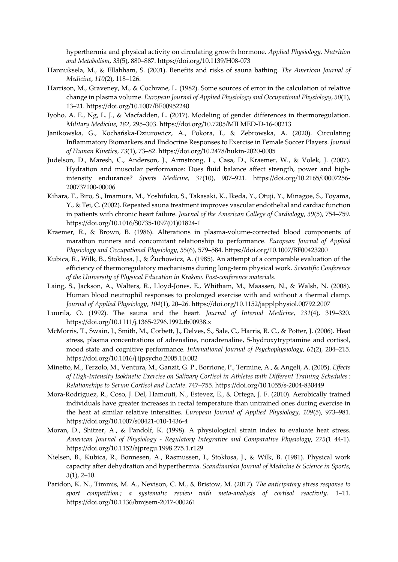hyperthermia and physical activity on circulating growth hormone. *Applied Physiology, Nutrition and Metabolism*, *33*(5), 880–887. https://doi.org/10.1139/H08-073

- Hannuksela, M., & Ellahham, S. (2001). Benefits and risks of sauna bathing. *The American Journal of Medicine*, *110*(2), 118–126.
- Harrison, M., Graveney, M., & Cochrane, L. (1982). Some sources of error in the calculation of relative change in plasma volume. *European Journal of Applied Physiology and Occupational Physiology*, *50*(1), 13–21. https://doi.org/10.1007/BF00952240
- Iyoho, A. E., Ng, L. J., & Macfadden, L. (2017). Modeling of gender differences in thermoregulation. *Military Medicine*, *182*, 295–303. https://doi.org/10.7205/MILMED-D-16-00213
- Janikowska, G., Kochańska-Dziurowicz, A., Pokora, I., & Zebrowska, A. (2020). Circulating Inflammatory Biomarkers and Endocrine Responses to Exercise in Female Soccer Players. *Journal of Human Kinetics*, *73*(1), 73–82. https://doi.org/10.2478/hukin-2020-0005
- Judelson, D., Maresh, C., Anderson, J., Armstrong, L., Casa, D., Kraemer, W., & Volek, J. (2007). Hydration and muscular performance: Does fluid balance affect strength, power and highintensity endurance? *Sports Medicine*, *37*(10), 907–921. https://doi.org/10.2165/00007256- 200737100-00006
- Kihara, T., Biro, S., Imamura, M., Yoshifuku, S., Takasaki, K., Ikeda, Y., Otuji, Y., Minagoe, S., Toyama, Y., & Tei, C. (2002). Repeated sauna treatment improves vascular endothelial and cardiac function in patients with chronic heart failure. *Journal of the American College of Cardiology*, *39*(5), 754–759. https://doi.org/10.1016/S0735-1097(01)01824-1
- Kraemer, R., & Brown, B. (1986). Alterations in plasma-volume-corrected blood components of marathon runners and concomitant relationship to performance. *European Journal of Applied Physiology and Occupational Physiology*, *55*(6), 579–584. https://doi.org/10.1007/BF00423200
- Kubica, R., Wilk, B., Stokłosa, J., & Żuchowicz, A. (1985). An attempt of a comparable evaluation of the efficiency of thermoregulatory mechanisms during long-term physical work. *Scientific Conference of the University of Physical Education in Krakow. Post-conference materials*.
- Laing, S., Jackson, A., Walters, R., Lloyd-Jones, E., Whitham, M., Maassen, N., & Walsh, N. (2008). Human blood neutrophil responses to prolonged exercise with and without a thermal clamp. *Journal of Applied Physiology*, *104*(1), 20–26. https://doi.org/10.1152/japplphysiol.00792.2007
- Luurila, O. (1992). The sauna and the heart. *Journal of Internal Medicine*, *231*(4), 319–320. https://doi.org/10.1111/j.1365-2796.1992.tb00938.x
- McMorris, T., Swain, J., Smith, M., Corbett, J., Delves, S., Sale, C., Harris, R. C., & Potter, J. (2006). Heat stress, plasma concentrations of adrenaline, noradrenaline, 5-hydroxytryptamine and cortisol, mood state and cognitive performance. *International Journal of Psychophysiology*, *61*(2), 204–215. https://doi.org/10.1016/j.ijpsycho.2005.10.002
- Minetto, M., Terzolo, M., Ventura, M., Ganzit, G. P., Borrione, P., Termine, A., & Angeli, A. (2005). *Effects of High-Intensity Isokinetic Exercise on Salivary Cortisol in Athletes with Different Training Schedules: Relationships to Serum Cortisol and Lactate*. 747–755. https://doi.org/10.1055/s-2004-830449
- Mora-Rodriguez, R., Coso, J. Del, Hamouti, N., Estevez, E., & Ortega, J. F. (2010). Aerobically trained individuals have greater increases in rectal temperature than untrained ones during exercise in the heat at similar relative intensities. *European Journal of Applied Physiology*, *109*(5), 973–981. https://doi.org/10.1007/s00421-010-1436-4
- Moran, D., Shitzer, A., & Pandolf, K. (1998). A physiological strain index to evaluate heat stress. *American Journal of Physiology - Regulatory Integrative and Comparative Physiology*, *275*(1 44-1). https://doi.org/10.1152/ajpregu.1998.275.1.r129
- Nielsen, B., Kubica, R., Bonnesen, A., Rasmussen, I., Stokłosa, J., & Wilk, B. (1981). Physical work capacity after dehydration and hyperthermia. *Scandinavian Journal of Medicine & Science in Sports*, *3*(1), 2–10.
- Paridon, K. N., Timmis, M. A., Nevison, C. M., & Bristow, M. (2017). *The anticipatory stress response to sport competition ; a systematic review with meta-analysis of cortisol reactivity*. 1–11. https://doi.org/10.1136/bmjsem-2017-000261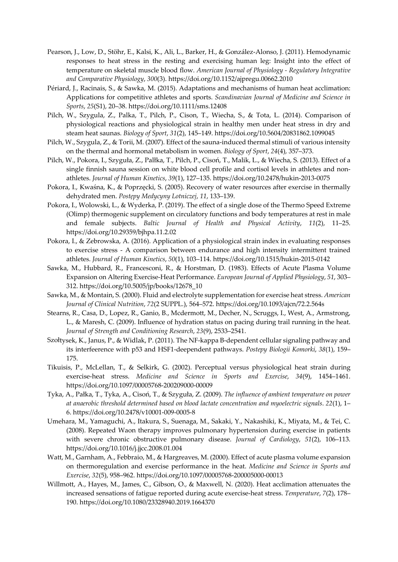- Pearson, J., Low, D., Stöhr, E., Kalsi, K., Ali, L., Barker, H., & González-Alonso, J. (2011). Hemodynamic responses to heat stress in the resting and exercising human leg: Insight into the effect of temperature on skeletal muscle blood flow. *American Journal of Physiology - Regulatory Integrative and Comparative Physiology*, *300*(3). https://doi.org/10.1152/ajpregu.00662.2010
- Périard, J., Racinais, S., & Sawka, M. (2015). Adaptations and mechanisms of human heat acclimation: Applications for competitive athletes and sports. *Scandinavian Journal of Medicine and Science in Sports*, *25*(S1), 20–38. https://doi.org/10.1111/sms.12408
- Pilch, W., Szygula, Z., Palka, T., Pilch, P., Cison, T., Wiecha, S., & Tota, L. (2014). Comparison of physiological reactions and physiological strain in healthy men under heat stress in dry and steam heat saunas. *Biology of Sport*, *31*(2), 145–149. https://doi.org/10.5604/20831862.1099045
- Pilch, W., Szygula, Z., & Torii, M. (2007). Effect of the sauna-induced thermal stimuli of various intensity on the thermal and hormonal metabolism in women. *Biology of Sport*, *24*(4), 357–373.
- Pilch, W., Pokora, I., Szyguła, Z., Palłka, T., Pilch, P., Cisoń, T., Malik, L., & Wiecha, S. (2013). Effect of a single finnish sauna session on white blood cell profile and cortisol levels in athletes and nonathletes. *Journal of Human Kinetics*, *39*(1), 127–135. https://doi.org/10.2478/hukin-2013-0075
- Pokora, I., Kwaśna, K., & Poprzęcki, S. (2005). Recovery of water resources after exercise in thermally dehydrated men. *Postępy Medycyny Lotniczej*, *11*, 133–139.
- Pokora, I., Wolowski, L., & Wyderka, P. (2019). The effect of a single dose of the Thermo Speed Extreme (Olimp) thermogenic supplement on circulatory functions and body temperatures at rest in male and female subjects. *Baltic Journal of Health and Physical Activity*, *11*(2), 11–25. https://doi.org/10.29359/bjhpa.11.2.02
- Pokora, I., & Zebrowska, A. (2016). Application of a physiological strain index in evaluating responses to exercise stress - A comparison between endurance and high intensity intermittent trained athletes. *Journal of Human Kinetics*, *50*(1), 103–114. https://doi.org/10.1515/hukin-2015-0142
- Sawka, M., Hubbard, R., Francesconi, R., & Horstman, D. (1983). Effects of Acute Plasma Volume Expansion on Altering Exercise-Heat Performance. *European Journal of Applied Physiology*, *51*, 303– 312. https://doi.org/10.5005/jp/books/12678\_10
- Sawka, M., & Montain, S. (2000). Fluid and electrolyte supplementation for exercise heat stress. *American Journal of Clinical Nutrition*, *72*(2 SUPPL.), 564–572. https://doi.org/10.1093/ajcn/72.2.564s
- Stearns, R., Casa, D., Lopez, R., Ganio, B., Mcdermott, M., Decher, N., Scruggs, I., West, A., Armstrong, L., & Maresh, C. (2009). Influence of hydration status on pacing during trail running in the heat. *Journal of Strength and Conditioning Research*, *23*(9), 2533–2541.
- Szołtysek, K., Janus, P., & Widlak, P. (2011). The NF-kappa B-dependent cellular signaling pathway and its interfeerence with p53 and HSF1-deependent pathways. *Postepy Biologii Komorki*, *38*(1), 159– 175.
- Tikuisis, P., McLellan, T., & Selkirk, G. (2002). Perceptual versus physiological heat strain during exercise-heat stress. *Medicine and Science in Sports and Exercise*, *34*(9), 1454–1461. https://doi.org/10.1097/00005768-200209000-00009
- Tyka, A., Pałka, T., Tyka, A., Cisoń, T., & Szyguła, Z. (2009). *The influence of ambient temperature on power at anaerobic threshold determined based on blood lactate concentration and myoelectric signals*. *22*(1), 1– 6. https://doi.org/10.2478/v10001-009-0005-8
- Umehara, M., Yamaguchi, A., Itakura, S., Suenaga, M., Sakaki, Y., Nakashiki, K., Miyata, M., & Tei, C. (2008). Repeated Waon therapy improves pulmonary hypertension during exercise in patients with severe chronic obstructive pulmonary disease. *Journal of Cardiology*, *51*(2), 106–113. https://doi.org/10.1016/j.jjcc.2008.01.004
- Watt, M., Garnham, A., Febbraio, M., & Hargreaves, M. (2000). Effect of acute plasma volume expansion on thermoregulation and exercise performance in the heat. *Medicine and Science in Sports and Exercise*, *32*(5), 958–962. https://doi.org/10.1097/00005768-200005000-00013
- Willmott, A., Hayes, M., James, C., Gibson, O., & Maxwell, N. (2020). Heat acclimation attenuates the increased sensations of fatigue reported during acute exercise-heat stress. *Temperature*, *7*(2), 178– 190. https://doi.org/10.1080/23328940.2019.1664370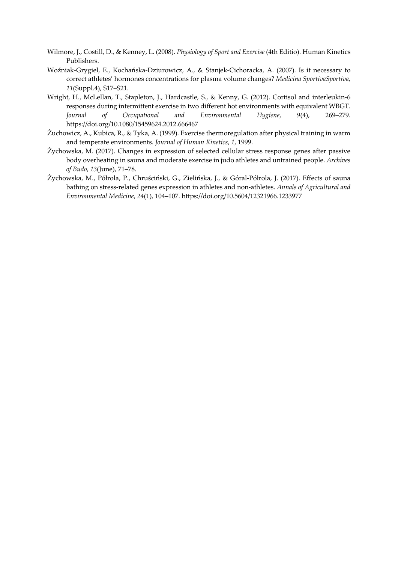- Wilmore, J., Costill, D., & Kenney, L. (2008). *Physiology of Sport and Exercise* (4th Editio). Human Kinetics Publishers.
- Woźniak-Grygiel, E., Kochańska-Dziurowicz, A., & Stanjek-Cichoracka, A. (2007). Is it necessary to correct athletes' hormones concentrations for plasma volume changes? *Medicina SportivaSportiva*, *11*(Suppl.4), S17–S21.
- Wright, H., McLellan, T., Stapleton, J., Hardcastle, S., & Kenny, G. (2012). Cortisol and interleukin-6 responses during intermittent exercise in two different hot environments with equivalent WBGT. *Journal of Occupational and Environmental Hygiene*, *9*(4), 269–279. https://doi.org/10.1080/15459624.2012.666467
- Żuchowicz, A., Kubica, R., & Tyka, A. (1999). Exercise thermoregulation after physical training in warm and temperate environments. *Journal of Human Kinetics*, *1*, 1999.
- Żychowska, M. (2017). Changes in expression of selected cellular stress response genes after passive body overheating in sauna and moderate exercise in judo athletes and untrained people. *Archives of Budo*, *13*(June), 71–78.
- Żychowska, M., Półrola, P., Chruściński, G., Zielińska, J., & Góral-Półrola, J. (2017). Effects of sauna bathing on stress-related genes expression in athletes and non-athletes. *Annals of Agricultural and Environmental Medicine*, *24*(1), 104–107. https://doi.org/10.5604/12321966.1233977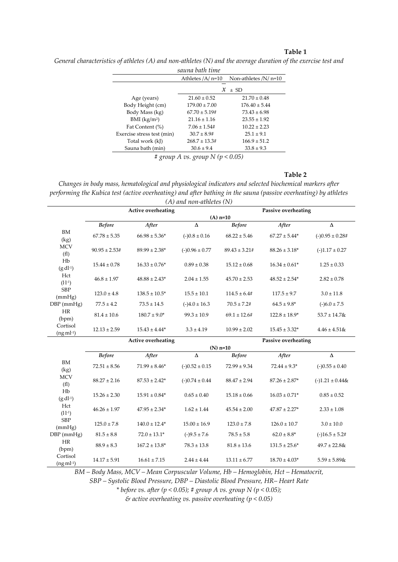# **Table 1**

*General characteristics of athletes (A) and non-athletes (N) and the average duration of the exercise test and* 

| sauna bath time            |                           |                        |  |  |  |  |
|----------------------------|---------------------------|------------------------|--|--|--|--|
|                            | Athletes $/A$ n=10        | Non-athletes $/N/n=10$ |  |  |  |  |
|                            | $\pm$ SD<br>$\mathcal{X}$ |                        |  |  |  |  |
| Age (years)                | $21.60 \pm 0.52$          | $21.70 \pm 0.48$       |  |  |  |  |
| Body Height (cm)           | $179.00 \pm 7.00$         | $176.40 \pm 5.44$      |  |  |  |  |
| Body Mass (kg)             | $67.70 \pm 5.19$ #        | $73.43 \pm 6.98$       |  |  |  |  |
| $BMI$ (kg/m <sup>2</sup> ) | $21.16 \pm 1.16$          | $23.55 \pm 1.92$       |  |  |  |  |
| Fat Content (%)            | $7.06 \pm 1.54$ #         | $1022 + 223$           |  |  |  |  |
| Exercise stress test (min) | $30.7 \pm 8.94$           | $25.1 \pm 9.1$         |  |  |  |  |
| Total work (kJ)            | $268.7 \pm 13.3$ #        | $166.9 \pm 51.2$       |  |  |  |  |
| Sauna bath (min)           | $30.6 \pm 9.4$            | $33.8 \pm 9.3$         |  |  |  |  |

*# group A vs. group N (p < 0.05)* 

## **Table 2**

*Changes in body mass, hematological and physiological indicators and selected biochemical markers after performing the Kubica test (active overheating) and after bathing in the sauna (passive overheating) by athletes*  $(4)$  and you athletes  $(5)$ *(A) and non-athletes (N)* 

|                           |                                                  |                    | (A) ana non-athietes (IV) |                    |                            |                      |  |  |  |
|---------------------------|--------------------------------------------------|--------------------|---------------------------|--------------------|----------------------------|----------------------|--|--|--|
|                           |                                                  | Active overheating |                           |                    | <b>Passive overheating</b> |                      |  |  |  |
|                           | $(A)$ n=10                                       |                    |                           |                    |                            |                      |  |  |  |
|                           | <b>Before</b>                                    | After              | $\Delta$                  | <b>Before</b>      | After                      | $\Delta$             |  |  |  |
| BM<br>(kg)                | $67.78 \pm 5.35$                                 | $66.98 \pm 5.36*$  | $(-)0.8 \pm 0.16$         | $68.22 \pm 5.46$   | $67.27\pm5.44^*$           | $(-)0.95 \pm 0.28$ # |  |  |  |
| <b>MCV</b><br>(f1)        | $90.95 \pm 2.53#$                                | $89.99 \pm 2.38^*$ | $(-)0.96 \pm 0.77$        | $89.43 \pm 3.21$ # | $88.26 \pm 3.18^*$         | $(-)1.17 \pm 0.27$   |  |  |  |
| Hb<br>$(g \, dl^{-1})$    | $15.44 \pm 0.78$                                 | $16.33 \pm 0.76*$  | $0.89 \pm 0.38$           | $15.12 \pm 0.68$   | $16.34 \pm 0.61*$          | $1.25 \pm 0.33$      |  |  |  |
| Hct<br>$(l·l-1)$          | $46.8 \pm 1.97$                                  | $48.88 \pm 2.43^*$ | $2.04 \pm 1.55$           | $45.70 \pm 2.53$   | $48.52 \pm 2.54^*$         | $2.82 \pm 0.78$      |  |  |  |
| <b>SBP</b><br>(mmHg)      | $123.0 \pm 4.8$                                  | $138.5 \pm 10.5^*$ | $15.5 \pm 10.1$           | $114.5\pm6.4\#$    | $117.5 \pm 9.7$            | $3.0 \pm 11.8$       |  |  |  |
| $DBP$ (mmHg)              | $77.5 \pm 4.2$                                   | $73.5 \pm 14.5$    | $(-)4.0 \pm 16.3$         | $70.5 \pm 7.2$ #   | $64.5 \pm 9.8^*$           | $(-)6.0 \pm 7.5$     |  |  |  |
| <b>HR</b><br>(bpm)        | $81.4 \pm 10.6$                                  | $180.7 \pm 9.0^*$  | $99.3 \pm 10.9$           | $69.1 \pm 12.6$ #  | $122.8 \pm 18.9*$          | $53.7 \pm 14.7$ &    |  |  |  |
| Cortisol<br>$(ng·ml-1)$   | $12.13 \pm 2.59$                                 | $15.43 \pm 4.44*$  | $3.3 \pm 4.19$            | $10.99 \pm 2.02$   | $15.45 \pm 3.32*$          | $4.46 \pm 4.51$ &    |  |  |  |
|                           | <b>Active overheating</b><br>Passive overheating |                    |                           |                    |                            |                      |  |  |  |
|                           |                                                  |                    |                           | $(N)$ n=10         |                            |                      |  |  |  |
|                           | <b>Before</b>                                    | After              | $\Delta$                  | <b>Before</b>      | After                      | $\Delta$             |  |  |  |
| <b>BM</b><br>(kg)         | $72.51 \pm 8.56$                                 | $71.99 \pm 8.46*$  | $(-)0.52 \pm 0.15$        | $72.99 \pm 9.34$   | $72.44 \pm 9.3^*$          | $(-)0.55 \pm 0.40$   |  |  |  |
| <b>MCV</b><br>(f1)        | $88.27 \pm 2.16$                                 | $87.53 \pm 2.42^*$ | $(-)0.74 \pm 0.44$        | $88.47 \pm 2.94$   | $87.26 \pm 2.87*$          | $(-)1.21 \pm 0.44$ & |  |  |  |
| Hb<br>$(g \cdot dl^{-1})$ | $15.26 \pm 2.30$                                 | $15.91 \pm 0.84*$  | $0.65 \pm 0.40$           | $15.18 \pm 0.66$   | $16.03 \pm 0.71*$          | $0.85 \pm 0.52$      |  |  |  |
| Hct<br>(l·l·1)            | $46.26 \pm 1.97$                                 | $47.95 \pm 2.34*$  | $1.62 \pm 1.44$           | $45.54 \pm 2.00$   | $47.87 \pm 2.27$ *         | $2.33 \pm 1.08$      |  |  |  |
| <b>SBP</b><br>(mmHg)      | $125.0 \pm 7.8$                                  | $140.0 \pm 12.4*$  | $15.00 \pm 16.9$          | $123.0 \pm 7.8$    | $126.0 \pm 10.7$           | $3.0 \pm 10.0$       |  |  |  |
| DBP (mmHg)                | $81.5 \pm 8.8$                                   | $72.0 \pm 13.1*$   | $(-)9.5 \pm 7.6$          | $78.5 \pm 5.8$     | $62.0 \pm 8.8^*$           | $(-)16.5 \pm 5.2$ #  |  |  |  |
| HR<br>(bpm)               | $88.9 \pm 8.3$                                   | $167.2 \pm 13.8^*$ | $78.3 \pm 13.8$           | $81.8 \pm 13.6$    | $131.5 \pm 25.6^*$         | $49.7 \pm 22.8$ &    |  |  |  |
| Cortisol<br>$(ng·ml-1)$   | $14.17 \pm 5.91$                                 | $16.61 \pm 7.15$   | $2.44 \pm 4.44$           | $13.11 \pm 6.77$   | $18.70 \pm 4.03*$          | $5.59 \pm 5.89$ &    |  |  |  |

*BM – Body Mass, MCV – Mean Corpuscular Volume, Hb – Hemoglobin, Hct – Hematocrit,* 

*SBP – Systolic Blood Pressure, DBP – Diastolic Blood Pressure, HR– Heart Rate* 

*\* before vs. after (p < 0.05); # group A vs. group N (p < 0.05);* 

*& active overheating vs. passive overheating (p < 0.05)*